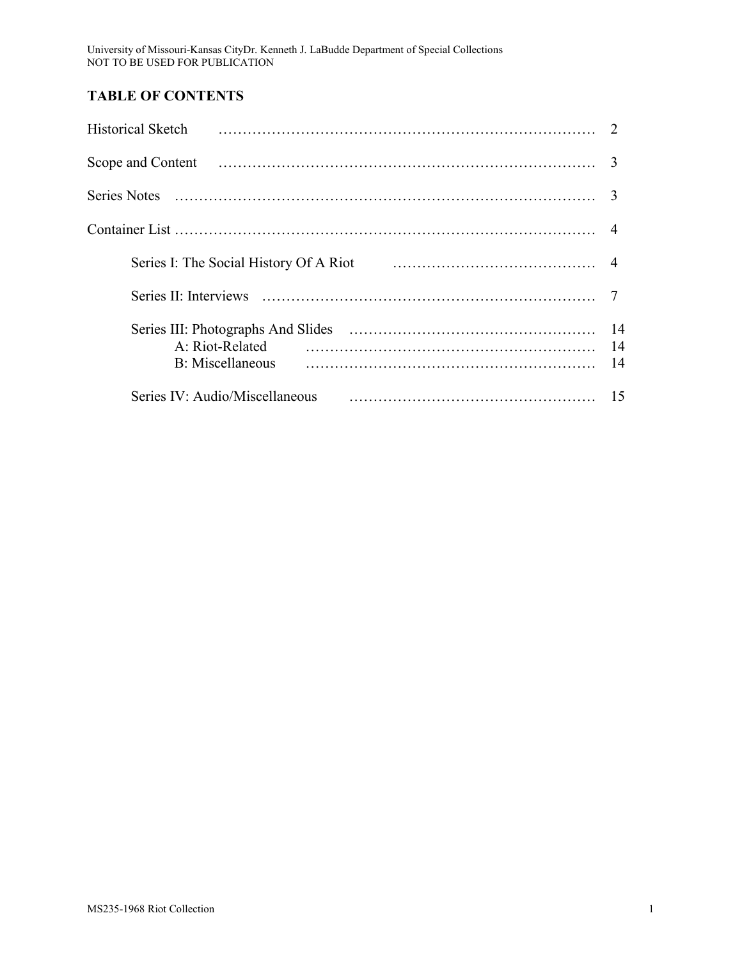University of Missouri-Kansas CityDr. Kenneth J. LaBudde Department of Special Collections NOT TO BE USED FOR PUBLICATION

# **TABLE OF CONTENTS**

| <b>Historical Sketch</b>                                                            |  |
|-------------------------------------------------------------------------------------|--|
|                                                                                     |  |
|                                                                                     |  |
|                                                                                     |  |
| Series I: The Social History Of A Riot (2008) 1996 11: The Social History Of A Riot |  |
|                                                                                     |  |
|                                                                                     |  |
| Series IV: Audio/Miscellaneous                                                      |  |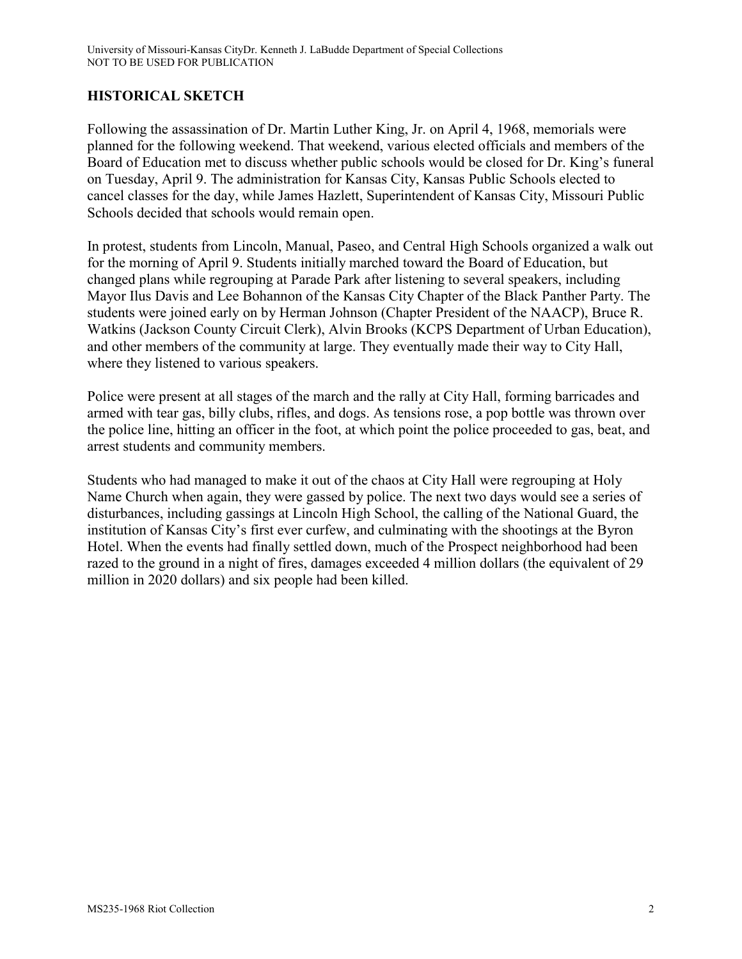## **HISTORICAL SKETCH**

Following the assassination of Dr. Martin Luther King, Jr. on April 4, 1968, memorials were planned for the following weekend. That weekend, various elected officials and members of the Board of Education met to discuss whether public schools would be closed for Dr. King's funeral on Tuesday, April 9. The administration for Kansas City, Kansas Public Schools elected to cancel classes for the day, while James Hazlett, Superintendent of Kansas City, Missouri Public Schools decided that schools would remain open.

In protest, students from Lincoln, Manual, Paseo, and Central High Schools organized a walk out for the morning of April 9. Students initially marched toward the Board of Education, but changed plans while regrouping at Parade Park after listening to several speakers, including Mayor Ilus Davis and Lee Bohannon of the Kansas City Chapter of the Black Panther Party. The students were joined early on by Herman Johnson (Chapter President of the NAACP), Bruce R. Watkins (Jackson County Circuit Clerk), Alvin Brooks (KCPS Department of Urban Education), and other members of the community at large. They eventually made their way to City Hall, where they listened to various speakers.

Police were present at all stages of the march and the rally at City Hall, forming barricades and armed with tear gas, billy clubs, rifles, and dogs. As tensions rose, a pop bottle was thrown over the police line, hitting an officer in the foot, at which point the police proceeded to gas, beat, and arrest students and community members.

Students who had managed to make it out of the chaos at City Hall were regrouping at Holy Name Church when again, they were gassed by police. The next two days would see a series of disturbances, including gassings at Lincoln High School, the calling of the National Guard, the institution of Kansas City's first ever curfew, and culminating with the shootings at the Byron Hotel. When the events had finally settled down, much of the Prospect neighborhood had been razed to the ground in a night of fires, damages exceeded 4 million dollars (the equivalent of 29 million in 2020 dollars) and six people had been killed.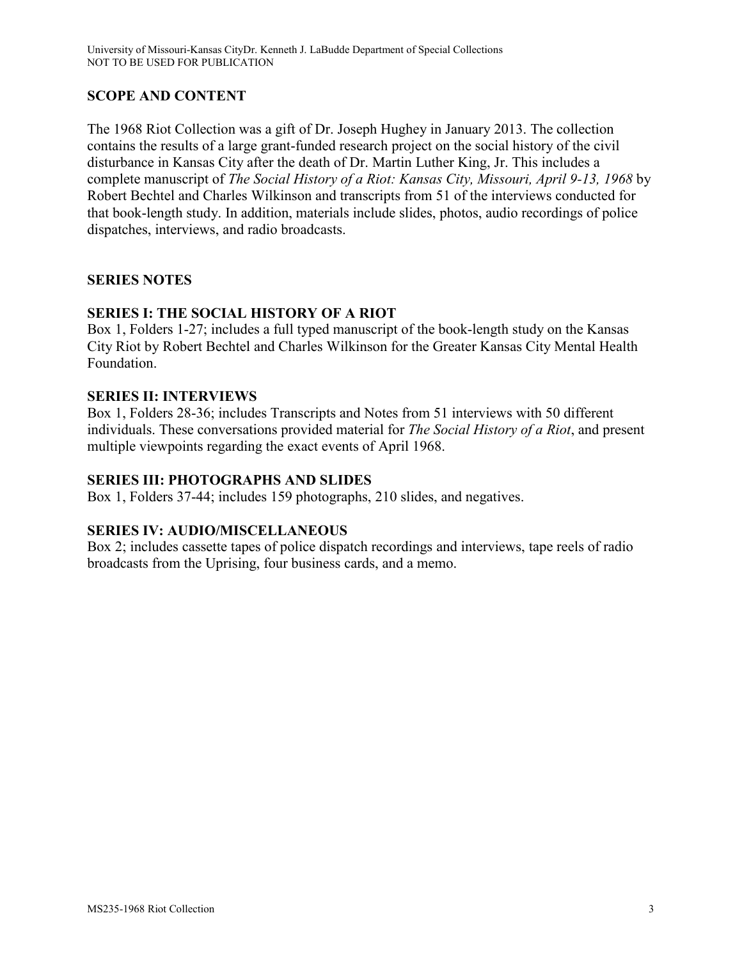# **SCOPE AND CONTENT**

The 1968 Riot Collection was a gift of Dr. Joseph Hughey in January 2013. The collection contains the results of a large grant-funded research project on the social history of the civil disturbance in Kansas City after the death of Dr. Martin Luther King, Jr. This includes a complete manuscript of *The Social History of a Riot: Kansas City, Missouri, April 9-13, 1968* by Robert Bechtel and Charles Wilkinson and transcripts from 51 of the interviews conducted for that book-length study. In addition, materials include slides, photos, audio recordings of police dispatches, interviews, and radio broadcasts.

## **SERIES NOTES**

## **SERIES I: THE SOCIAL HISTORY OF A RIOT**

Box 1, Folders 1-27; includes a full typed manuscript of the book-length study on the Kansas City Riot by Robert Bechtel and Charles Wilkinson for the Greater Kansas City Mental Health Foundation.

## **SERIES II: INTERVIEWS**

Box 1, Folders 28-36; includes Transcripts and Notes from 51 interviews with 50 different individuals. These conversations provided material for *The Social History of a Riot*, and present multiple viewpoints regarding the exact events of April 1968.

## **SERIES III: PHOTOGRAPHS AND SLIDES**

Box 1, Folders 37-44; includes 159 photographs, 210 slides, and negatives.

## **SERIES IV: AUDIO/MISCELLANEOUS**

Box 2; includes cassette tapes of police dispatch recordings and interviews, tape reels of radio broadcasts from the Uprising, four business cards, and a memo.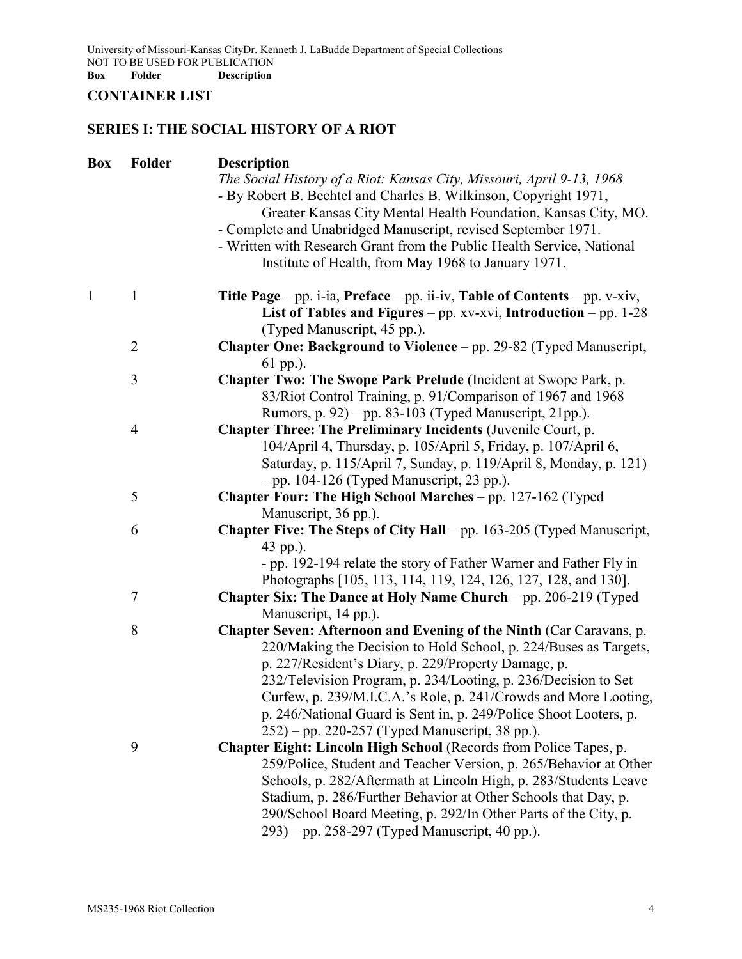University of Missouri-Kansas CityDr. Kenneth J. LaBudde Department of Special Collections NOT TO BE USED FOR PUBLICATION **Box Folder Description**

## **CONTAINER LIST**

# **SERIES I: THE SOCIAL HISTORY OF A RIOT**

| Box | Folder         | <b>Description</b>                                                                                                                                                                                          |
|-----|----------------|-------------------------------------------------------------------------------------------------------------------------------------------------------------------------------------------------------------|
|     |                | The Social History of a Riot: Kansas City, Missouri, April 9-13, 1968<br>- By Robert B. Bechtel and Charles B. Wilkinson, Copyright 1971,<br>Greater Kansas City Mental Health Foundation, Kansas City, MO. |
|     |                | - Complete and Unabridged Manuscript, revised September 1971.                                                                                                                                               |
|     |                | - Written with Research Grant from the Public Health Service, National                                                                                                                                      |
|     |                | Institute of Health, from May 1968 to January 1971.                                                                                                                                                         |
| 1   | $\mathbf{1}$   | <b>Title Page</b> – pp. i-ia, Preface – pp. ii-iv, Table of Contents – pp. v-xiv,                                                                                                                           |
|     |                | List of Tables and Figures – $pp. xv-xvi$ , Introduction – $pp. 1-28$<br>(Typed Manuscript, 45 pp.).                                                                                                        |
|     | $\overline{2}$ | Chapter One: Background to Violence - pp. 29-82 (Typed Manuscript,                                                                                                                                          |
|     |                | 61 pp.).                                                                                                                                                                                                    |
|     | 3              | Chapter Two: The Swope Park Prelude (Incident at Swope Park, p.                                                                                                                                             |
|     |                | 83/Riot Control Training, p. 91/Comparison of 1967 and 1968                                                                                                                                                 |
|     |                | Rumors, p. 92) - pp. 83-103 (Typed Manuscript, 21pp.).                                                                                                                                                      |
|     | $\overline{4}$ | <b>Chapter Three: The Preliminary Incidents (Juvenile Court, p.</b>                                                                                                                                         |
|     |                | 104/April 4, Thursday, p. 105/April 5, Friday, p. 107/April 6,                                                                                                                                              |
|     |                | Saturday, p. 115/April 7, Sunday, p. 119/April 8, Monday, p. 121)                                                                                                                                           |
|     |                | $-$ pp. 104-126 (Typed Manuscript, 23 pp.).                                                                                                                                                                 |
|     | 5              | <b>Chapter Four: The High School Marches</b> – pp. 127-162 (Typed                                                                                                                                           |
|     |                | Manuscript, 36 pp.).                                                                                                                                                                                        |
|     | 6              | <b>Chapter Five: The Steps of City Hall</b> – pp. 163-205 (Typed Manuscript,                                                                                                                                |
|     |                | 43 pp.).                                                                                                                                                                                                    |
|     |                | - pp. 192-194 relate the story of Father Warner and Father Fly in                                                                                                                                           |
|     |                | Photographs [105, 113, 114, 119, 124, 126, 127, 128, and 130].                                                                                                                                              |
|     | $\tau$         | <b>Chapter Six: The Dance at Holy Name Church</b> – pp. 206-219 (Typed                                                                                                                                      |
|     |                | Manuscript, 14 pp.).                                                                                                                                                                                        |
|     | 8              | Chapter Seven: Afternoon and Evening of the Ninth (Car Caravans, p.                                                                                                                                         |
|     |                | 220/Making the Decision to Hold School, p. 224/Buses as Targets,                                                                                                                                            |
|     |                | p. 227/Resident's Diary, p. 229/Property Damage, p.                                                                                                                                                         |
|     |                | 232/Television Program, p. 234/Looting, p. 236/Decision to Set                                                                                                                                              |
|     |                | Curfew, p. 239/M.I.C.A.'s Role, p. 241/Crowds and More Looting,                                                                                                                                             |
|     |                | p. 246/National Guard is Sent in, p. 249/Police Shoot Looters, p.                                                                                                                                           |
|     |                | $(252)$ – pp. 220-257 (Typed Manuscript, 38 pp.).                                                                                                                                                           |
|     | 9              | Chapter Eight: Lincoln High School (Records from Police Tapes, p.                                                                                                                                           |
|     |                | 259/Police, Student and Teacher Version, p. 265/Behavior at Other                                                                                                                                           |
|     |                | Schools, p. 282/Aftermath at Lincoln High, p. 283/Students Leave                                                                                                                                            |
|     |                | Stadium, p. 286/Further Behavior at Other Schools that Day, p.                                                                                                                                              |
|     |                | 290/School Board Meeting, p. 292/In Other Parts of the City, p.                                                                                                                                             |
|     |                | 293) – pp. 258-297 (Typed Manuscript, 40 pp.).                                                                                                                                                              |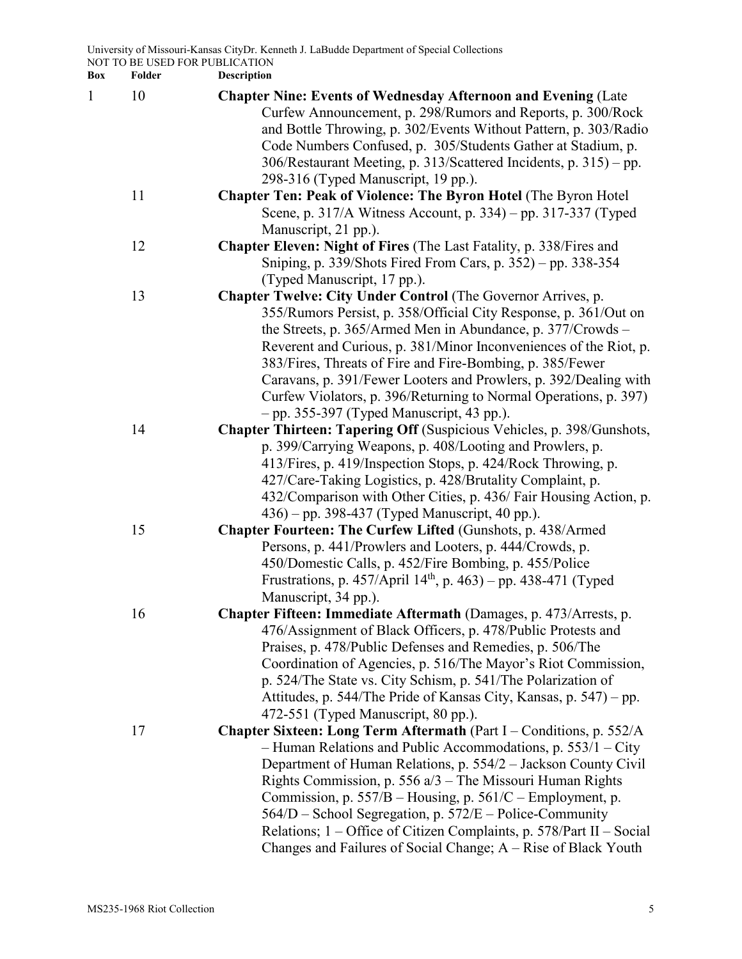| 1 | 10 | <b>Chapter Nine: Events of Wednesday Afternoon and Evening (Late</b>       |
|---|----|----------------------------------------------------------------------------|
|   |    | Curfew Announcement, p. 298/Rumors and Reports, p. 300/Rock                |
|   |    | and Bottle Throwing, p. 302/Events Without Pattern, p. 303/Radio           |
|   |    | Code Numbers Confused, p. 305/Students Gather at Stadium, p.               |
|   |    | 306/Restaurant Meeting, p. 313/Scattered Incidents, p. 315) – pp.          |
|   |    | 298-316 (Typed Manuscript, 19 pp.).                                        |
|   | 11 | <b>Chapter Ten: Peak of Violence: The Byron Hotel (The Byron Hotel)</b>    |
|   |    | Scene, p. 317/A Witness Account, p. 334) – pp. 317-337 (Typed              |
|   |    | Manuscript, 21 pp.).                                                       |
|   | 12 | <b>Chapter Eleven: Night of Fires</b> (The Last Fatality, p. 338/Fires and |
|   |    | Sniping, p. 339/Shots Fired From Cars, p. 352) - pp. 338-354               |
|   |    | (Typed Manuscript, 17 pp.).                                                |
|   | 13 | Chapter Twelve: City Under Control (The Governor Arrives, p.               |
|   |    | 355/Rumors Persist, p. 358/Official City Response, p. 361/Out on           |
|   |    | the Streets, p. 365/Armed Men in Abundance, p. 377/Crowds –                |
|   |    | Reverent and Curious, p. 381/Minor Inconveniences of the Riot, p.          |
|   |    | 383/Fires, Threats of Fire and Fire-Bombing, p. 385/Fewer                  |
|   |    | Caravans, p. 391/Fewer Looters and Prowlers, p. 392/Dealing with           |
|   |    | Curfew Violators, p. 396/Returning to Normal Operations, p. 397)           |
|   |    | $-$ pp. 355-397 (Typed Manuscript, 43 pp.).                                |
|   | 14 | Chapter Thirteen: Tapering Off (Suspicious Vehicles, p. 398/Gunshots,      |
|   |    | p. 399/Carrying Weapons, p. 408/Looting and Prowlers, p.                   |
|   |    | 413/Fires, p. 419/Inspection Stops, p. 424/Rock Throwing, p.               |
|   |    | 427/Care-Taking Logistics, p. 428/Brutality Complaint, p.                  |
|   |    | 432/Comparison with Other Cities, p. 436/ Fair Housing Action, p.          |
|   |    | 436) – pp. 398-437 (Typed Manuscript, 40 pp.).                             |
|   | 15 | Chapter Fourteen: The Curfew Lifted (Gunshots, p. 438/Armed                |
|   |    | Persons, p. 441/Prowlers and Looters, p. 444/Crowds, p.                    |
|   |    | 450/Domestic Calls, p. 452/Fire Bombing, p. 455/Police                     |
|   |    | Frustrations, p. 457/April 14 <sup>th</sup> , p. 463) – pp. 438-471 (Typed |
|   |    | Manuscript, 34 pp.).                                                       |
|   | 16 | Chapter Fifteen: Immediate Aftermath (Damages, p. 473/Arrests, p.          |
|   |    | 476/Assignment of Black Officers, p. 478/Public Protests and               |
|   |    | Praises, p. 478/Public Defenses and Remedies, p. 506/The                   |
|   |    | Coordination of Agencies, p. 516/The Mayor's Riot Commission,              |
|   |    | p. 524/The State vs. City Schism, p. 541/The Polarization of               |
|   |    | Attitudes, p. 544/The Pride of Kansas City, Kansas, p. 547) – pp.          |
|   |    | 472-551 (Typed Manuscript, 80 pp.).                                        |
|   | 17 | Chapter Sixteen: Long Term Aftermath (Part I – Conditions, p. 552/A        |
|   |    | - Human Relations and Public Accommodations, p. $553/1 - City$             |
|   |    | Department of Human Relations, p. 554/2 – Jackson County Civil             |
|   |    | Rights Commission, p. 556 $a/3$ – The Missouri Human Rights                |
|   |    | Commission, p. $557/B$ – Housing, p. $561/C$ – Employment, p.              |
|   |    | 564/D – School Segregation, p. 572/E – Police-Community                    |
|   |    | Relations; $1 -$ Office of Citizen Complaints, p. 578/Part II – Social     |
|   |    | Changes and Failures of Social Change; A – Rise of Black Youth             |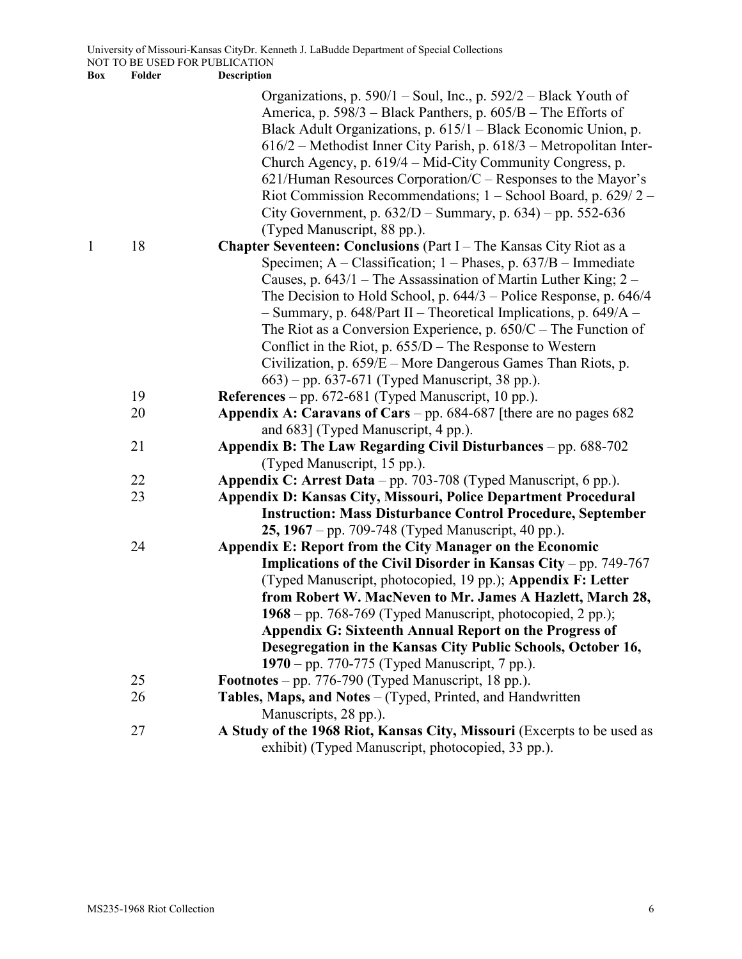|   |          | Organizations, p. 590/1 – Soul, Inc., p. 592/2 – Black Youth of<br>America, p. 598/3 – Black Panthers, p. 605/B – The Efforts of<br>Black Adult Organizations, p. 615/1 – Black Economic Union, p.<br>616/2 – Methodist Inner City Parish, p. 618/3 – Metropolitan Inter-<br>Church Agency, p. 619/4 – Mid-City Community Congress, p.<br>$621/H$ uman Resources Corporation/C – Responses to the Mayor's<br>Riot Commission Recommendations; $1 -$ School Board, p. 629/2 -<br>City Government, p. $632/D$ – Summary, p. $634$ ) – pp. 552-636<br>(Typed Manuscript, 88 pp.). |
|---|----------|--------------------------------------------------------------------------------------------------------------------------------------------------------------------------------------------------------------------------------------------------------------------------------------------------------------------------------------------------------------------------------------------------------------------------------------------------------------------------------------------------------------------------------------------------------------------------------|
| 1 | 18       | Chapter Seventeen: Conclusions (Part I - The Kansas City Riot as a                                                                                                                                                                                                                                                                                                                                                                                                                                                                                                             |
|   |          | Specimen; $A - Classification$ ; $1 - Phases$ , $p. 637/B - Immediately$                                                                                                                                                                                                                                                                                                                                                                                                                                                                                                       |
|   |          | Causes, p. $643/1$ – The Assassination of Martin Luther King; 2 –                                                                                                                                                                                                                                                                                                                                                                                                                                                                                                              |
|   |          | The Decision to Hold School, p. $644/3$ – Police Response, p. $646/4$                                                                                                                                                                                                                                                                                                                                                                                                                                                                                                          |
|   |          | $-$ Summary, p. 648/Part II – Theoretical Implications, p. 649/A –                                                                                                                                                                                                                                                                                                                                                                                                                                                                                                             |
|   |          | The Riot as a Conversion Experience, p. $650/C$ – The Function of                                                                                                                                                                                                                                                                                                                                                                                                                                                                                                              |
|   |          | Conflict in the Riot, p. $655/D$ – The Response to Western                                                                                                                                                                                                                                                                                                                                                                                                                                                                                                                     |
|   |          | Civilization, p. 659/E - More Dangerous Games Than Riots, p.                                                                                                                                                                                                                                                                                                                                                                                                                                                                                                                   |
|   |          | 663) – pp. 637-671 (Typed Manuscript, 38 pp.).                                                                                                                                                                                                                                                                                                                                                                                                                                                                                                                                 |
|   | 19       | References - pp. 672-681 (Typed Manuscript, 10 pp.).                                                                                                                                                                                                                                                                                                                                                                                                                                                                                                                           |
|   | 20       | Appendix A: Caravans of Cars - pp. 684-687 [there are no pages 682                                                                                                                                                                                                                                                                                                                                                                                                                                                                                                             |
|   |          | and 683] (Typed Manuscript, 4 pp.).                                                                                                                                                                                                                                                                                                                                                                                                                                                                                                                                            |
|   | 21       | Appendix B: The Law Regarding Civil Disturbances – pp. 688-702                                                                                                                                                                                                                                                                                                                                                                                                                                                                                                                 |
|   |          | (Typed Manuscript, 15 pp.).                                                                                                                                                                                                                                                                                                                                                                                                                                                                                                                                                    |
|   | 22<br>23 | Appendix C: Arrest Data – pp. 703-708 (Typed Manuscript, 6 pp.).                                                                                                                                                                                                                                                                                                                                                                                                                                                                                                               |
|   |          | Appendix D: Kansas City, Missouri, Police Department Procedural<br><b>Instruction: Mass Disturbance Control Procedure, September</b>                                                                                                                                                                                                                                                                                                                                                                                                                                           |
|   |          | 25, 1967 – pp. 709-748 (Typed Manuscript, 40 pp.).                                                                                                                                                                                                                                                                                                                                                                                                                                                                                                                             |
|   | 24       | Appendix E: Report from the City Manager on the Economic                                                                                                                                                                                                                                                                                                                                                                                                                                                                                                                       |
|   |          | <b>Implications of the Civil Disorder in Kansas City – pp. 749-767</b>                                                                                                                                                                                                                                                                                                                                                                                                                                                                                                         |
|   |          | (Typed Manuscript, photocopied, 19 pp.); Appendix F: Letter                                                                                                                                                                                                                                                                                                                                                                                                                                                                                                                    |
|   |          | from Robert W. MacNeven to Mr. James A Hazlett, March 28,                                                                                                                                                                                                                                                                                                                                                                                                                                                                                                                      |
|   |          | $1968$ – pp. 768-769 (Typed Manuscript, photocopied, 2 pp.);                                                                                                                                                                                                                                                                                                                                                                                                                                                                                                                   |
|   |          | Appendix G: Sixteenth Annual Report on the Progress of                                                                                                                                                                                                                                                                                                                                                                                                                                                                                                                         |
|   |          | Desegregation in the Kansas City Public Schools, October 16,                                                                                                                                                                                                                                                                                                                                                                                                                                                                                                                   |
|   |          | 1970 – pp. 770-775 (Typed Manuscript, 7 pp.).                                                                                                                                                                                                                                                                                                                                                                                                                                                                                                                                  |
|   | 25       | <b>Footnotes</b> – pp. 776-790 (Typed Manuscript, 18 pp.).                                                                                                                                                                                                                                                                                                                                                                                                                                                                                                                     |
|   | 26       | Tables, Maps, and Notes - (Typed, Printed, and Handwritten                                                                                                                                                                                                                                                                                                                                                                                                                                                                                                                     |
|   |          | Manuscripts, 28 pp.).                                                                                                                                                                                                                                                                                                                                                                                                                                                                                                                                                          |
|   | 27       | A Study of the 1968 Riot, Kansas City, Missouri (Excerpts to be used as                                                                                                                                                                                                                                                                                                                                                                                                                                                                                                        |
|   |          | exhibit) (Typed Manuscript, photocopied, 33 pp.).                                                                                                                                                                                                                                                                                                                                                                                                                                                                                                                              |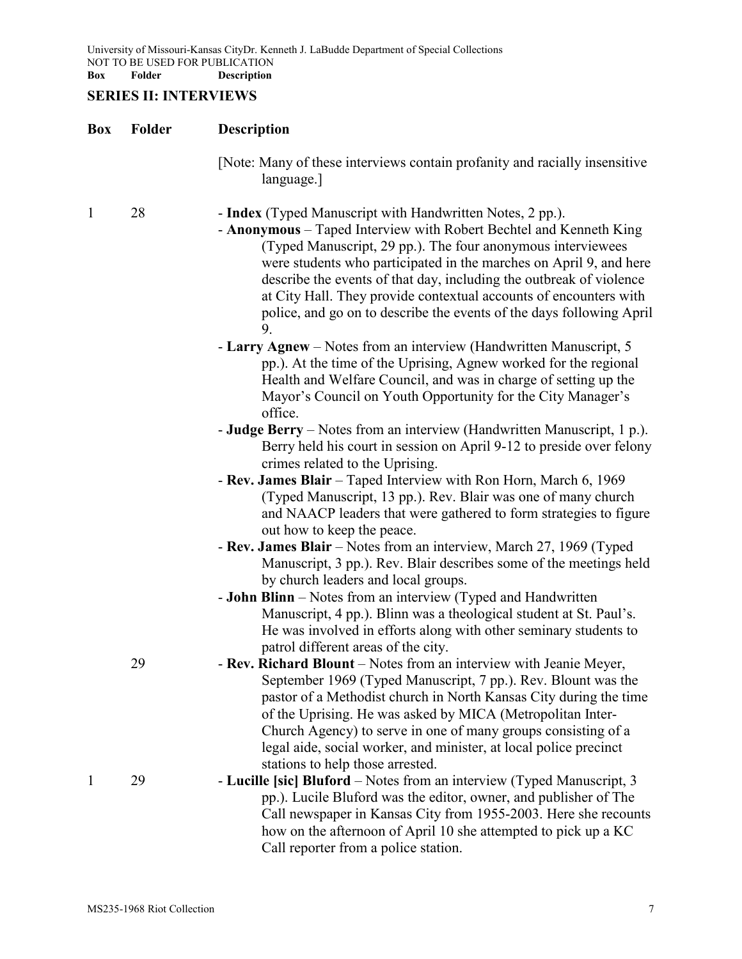University of Missouri-Kansas CityDr. Kenneth J. LaBudde Department of Special Collections NOT TO BE USED FOR PUBLICATION **Box Folder Description**

# **SERIES II: INTERVIEWS**

| Box          | Folder | <b>Description</b>                                                                                                                                                                                                                                                                                                                                                                                                                                                                             |
|--------------|--------|------------------------------------------------------------------------------------------------------------------------------------------------------------------------------------------------------------------------------------------------------------------------------------------------------------------------------------------------------------------------------------------------------------------------------------------------------------------------------------------------|
|              |        | [Note: Many of these interviews contain profanity and racially insensitive<br>language.]                                                                                                                                                                                                                                                                                                                                                                                                       |
| $\mathbf{1}$ | 28     | - Index (Typed Manuscript with Handwritten Notes, 2 pp.).<br>- Anonymous – Taped Interview with Robert Bechtel and Kenneth King<br>(Typed Manuscript, 29 pp.). The four anonymous interviewees<br>were students who participated in the marches on April 9, and here<br>describe the events of that day, including the outbreak of violence<br>at City Hall. They provide contextual accounts of encounters with<br>police, and go on to describe the events of the days following April<br>9. |
|              |        | - Larry Agnew – Notes from an interview (Handwritten Manuscript, 5<br>pp.). At the time of the Uprising, Agnew worked for the regional<br>Health and Welfare Council, and was in charge of setting up the<br>Mayor's Council on Youth Opportunity for the City Manager's<br>office.                                                                                                                                                                                                            |
|              |        | <b>- Judge Berry</b> – Notes from an interview (Handwritten Manuscript, 1 p.).<br>Berry held his court in session on April 9-12 to preside over felony<br>crimes related to the Uprising.                                                                                                                                                                                                                                                                                                      |
|              |        | - Rev. James Blair – Taped Interview with Ron Horn, March 6, 1969<br>(Typed Manuscript, 13 pp.). Rev. Blair was one of many church<br>and NAACP leaders that were gathered to form strategies to figure<br>out how to keep the peace.                                                                                                                                                                                                                                                          |
|              |        | - Rev. James Blair – Notes from an interview, March 27, 1969 (Typed<br>Manuscript, 3 pp.). Rev. Blair describes some of the meetings held<br>by church leaders and local groups.                                                                                                                                                                                                                                                                                                               |
|              |        | - John Blinn - Notes from an interview (Typed and Handwritten<br>Manuscript, 4 pp.). Blinn was a theological student at St. Paul's.<br>He was involved in efforts along with other seminary students to<br>patrol different areas of the city.                                                                                                                                                                                                                                                 |
|              | 29     | - Rev. Richard Blount - Notes from an interview with Jeanie Meyer,<br>September 1969 (Typed Manuscript, 7 pp.). Rev. Blount was the<br>pastor of a Methodist church in North Kansas City during the time<br>of the Uprising. He was asked by MICA (Metropolitan Inter-<br>Church Agency) to serve in one of many groups consisting of a<br>legal aide, social worker, and minister, at local police precinct<br>stations to help those arrested.                                               |
| 1            | 29     | - Lucille [sic] Bluford – Notes from an interview (Typed Manuscript, 3<br>pp.). Lucile Bluford was the editor, owner, and publisher of The<br>Call newspaper in Kansas City from 1955-2003. Here she recounts<br>how on the afternoon of April 10 she attempted to pick up a KC<br>Call reporter from a police station.                                                                                                                                                                        |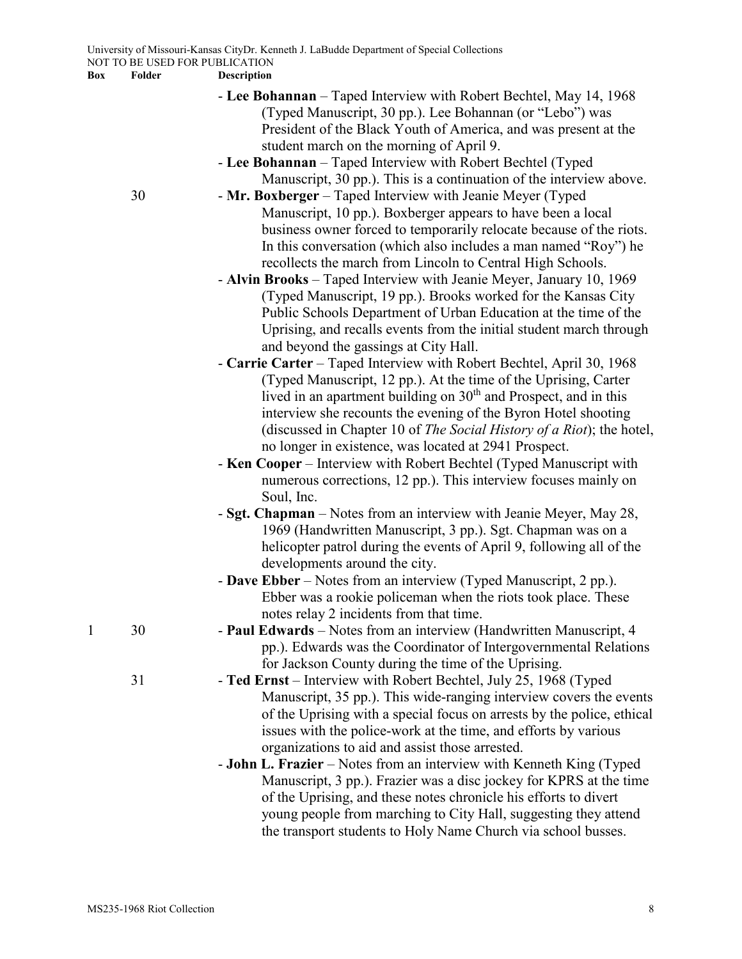- **Lee Bohannan** Taped Interview with Robert Bechtel, May 14, 1968 (Typed Manuscript, 30 pp.). Lee Bohannan (or "Lebo") was President of the Black Youth of America, and was present at the student march on the morning of April 9.
- **Lee Bohannan** Taped Interview with Robert Bechtel (Typed Manuscript, 30 pp.). This is a continuation of the interview above.
- 30 **Mr. Boxberger** Taped Interview with Jeanie Meyer (Typed Manuscript, 10 pp.). Boxberger appears to have been a local business owner forced to temporarily relocate because of the riots. In this conversation (which also includes a man named "Roy") he recollects the march from Lincoln to Central High Schools.
	- **Alvin Brooks** Taped Interview with Jeanie Meyer, January 10, 1969 (Typed Manuscript, 19 pp.). Brooks worked for the Kansas City Public Schools Department of Urban Education at the time of the Uprising, and recalls events from the initial student march through and beyond the gassings at City Hall.
	- **Carrie Carter** Taped Interview with Robert Bechtel, April 30, 1968 (Typed Manuscript, 12 pp.). At the time of the Uprising, Carter lived in an apartment building on  $30<sup>th</sup>$  and Prospect, and in this interview she recounts the evening of the Byron Hotel shooting (discussed in Chapter 10 of *The Social History of a Riot*); the hotel, no longer in existence, was located at 2941 Prospect.
	- **Ken Cooper** Interview with Robert Bechtel (Typed Manuscript with numerous corrections, 12 pp.). This interview focuses mainly on Soul, Inc.
	- **Sgt. Chapman** Notes from an interview with Jeanie Meyer, May 28, 1969 (Handwritten Manuscript, 3 pp.). Sgt. Chapman was on a helicopter patrol during the events of April 9, following all of the developments around the city.
	- **Dave Ebber** Notes from an interview (Typed Manuscript, 2 pp.). Ebber was a rookie policeman when the riots took place. These notes relay 2 incidents from that time.
- 1 30 **Paul Edwards** Notes from an interview (Handwritten Manuscript, 4 pp.). Edwards was the Coordinator of Intergovernmental Relations for Jackson County during the time of the Uprising.
	- 31 **Ted Ernst** Interview with Robert Bechtel, July 25, 1968 (Typed Manuscript, 35 pp.). This wide-ranging interview covers the events of the Uprising with a special focus on arrests by the police, ethical issues with the police-work at the time, and efforts by various organizations to aid and assist those arrested.
		- **John L. Frazier** Notes from an interview with Kenneth King (Typed Manuscript, 3 pp.). Frazier was a disc jockey for KPRS at the time of the Uprising, and these notes chronicle his efforts to divert young people from marching to City Hall, suggesting they attend the transport students to Holy Name Church via school busses.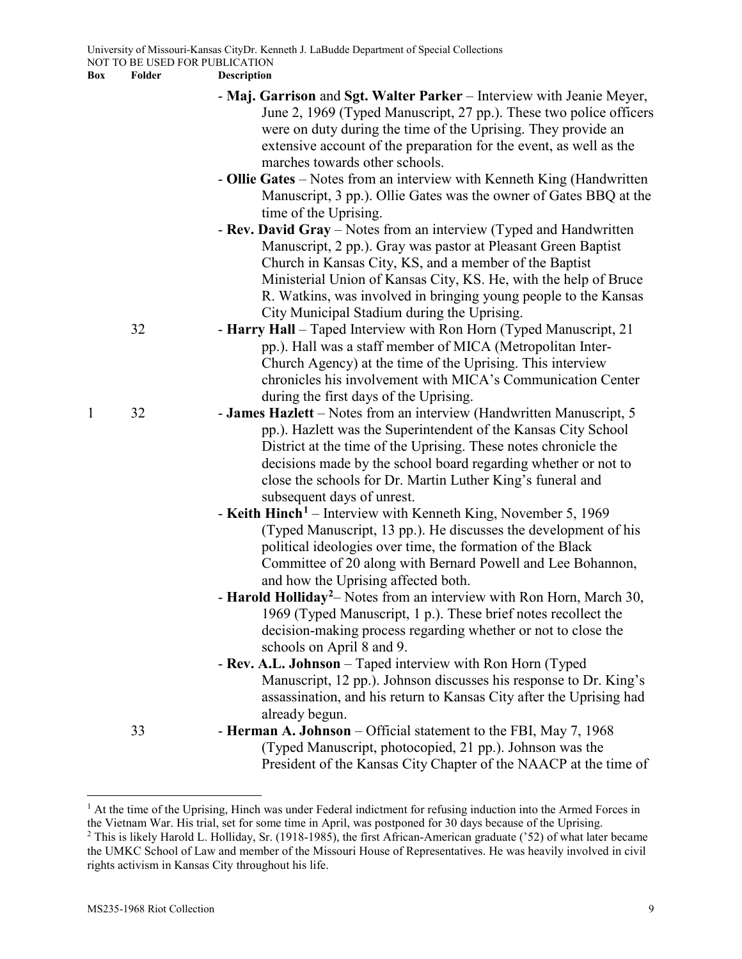**Description** 

|              |    | - Maj. Garrison and Sgt. Walter Parker – Interview with Jeanie Meyer,                      |
|--------------|----|--------------------------------------------------------------------------------------------|
|              |    | June 2, 1969 (Typed Manuscript, 27 pp.). These two police officers                         |
|              |    | were on duty during the time of the Uprising. They provide an                              |
|              |    | extensive account of the preparation for the event, as well as the                         |
|              |    | marches towards other schools.                                                             |
|              |    | - Ollie Gates – Notes from an interview with Kenneth King (Handwritten                     |
|              |    | Manuscript, 3 pp.). Ollie Gates was the owner of Gates BBQ at the<br>time of the Uprising. |
|              |    | - Rev. David Gray – Notes from an interview (Typed and Handwritten                         |
|              |    | Manuscript, 2 pp.). Gray was pastor at Pleasant Green Baptist                              |
|              |    | Church in Kansas City, KS, and a member of the Baptist                                     |
|              |    | Ministerial Union of Kansas City, KS. He, with the help of Bruce                           |
|              |    | R. Watkins, was involved in bringing young people to the Kansas                            |
|              |    | City Municipal Stadium during the Uprising.                                                |
|              | 32 | - Harry Hall – Taped Interview with Ron Horn (Typed Manuscript, 21)                        |
|              |    | pp.). Hall was a staff member of MICA (Metropolitan Inter-                                 |
|              |    | Church Agency) at the time of the Uprising. This interview                                 |
|              |    | chronicles his involvement with MICA's Communication Center                                |
|              |    | during the first days of the Uprising.                                                     |
| $\mathbf{1}$ | 32 | - James Hazlett – Notes from an interview (Handwritten Manuscript, 5                       |
|              |    | pp.). Hazlett was the Superintendent of the Kansas City School                             |
|              |    | District at the time of the Uprising. These notes chronicle the                            |
|              |    | decisions made by the school board regarding whether or not to                             |
|              |    | close the schools for Dr. Martin Luther King's funeral and                                 |
|              |    | subsequent days of unrest.                                                                 |
|              |    | - Keith Hinch <sup>1</sup> – Interview with Kenneth King, November 5, 1969                 |
|              |    | (Typed Manuscript, 13 pp.). He discusses the development of his                            |
|              |    | political ideologies over time, the formation of the Black                                 |
|              |    | Committee of 20 along with Bernard Powell and Lee Bohannon,                                |
|              |    | and how the Uprising affected both.                                                        |
|              |    | - Harold Holliday <sup>2</sup> – Notes from an interview with Ron Horn, March 30,          |
|              |    | 1969 (Typed Manuscript, 1 p.). These brief notes recollect the                             |
|              |    | decision-making process regarding whether or not to close the                              |
|              |    | schools on April 8 and 9.                                                                  |
|              |    | - Rev. A.L. Johnson – Taped interview with Ron Horn (Typed                                 |
|              |    | Manuscript, 12 pp.). Johnson discusses his response to Dr. King's                          |
|              |    | assassination, and his return to Kansas City after the Uprising had                        |
|              |    | already begun.                                                                             |
|              | 33 | - Herman A. Johnson – Official statement to the FBI, May 7, 1968                           |
|              |    | (Typed Manuscript, photocopied, 21 pp.). Johnson was the                                   |
|              |    | President of the Kansas City Chapter of the NAACP at the time of                           |
|              |    |                                                                                            |

<span id="page-8-1"></span><span id="page-8-0"></span><sup>&</sup>lt;sup>1</sup> At the time of the Uprising, Hinch was under Federal indictment for refusing induction into the Armed Forces in the Vietnam War. His trial, set for some time in April, was postponed for 30 days because of the Uprising. <sup>2</sup> This is likely Harold L. Holliday, Sr. (1918-1985), the first African-American graduate ('52) of what later became the UMKC School of Law and member of the Missouri House of Representatives. He was heavily involved in civil rights activism in Kansas City throughout his life.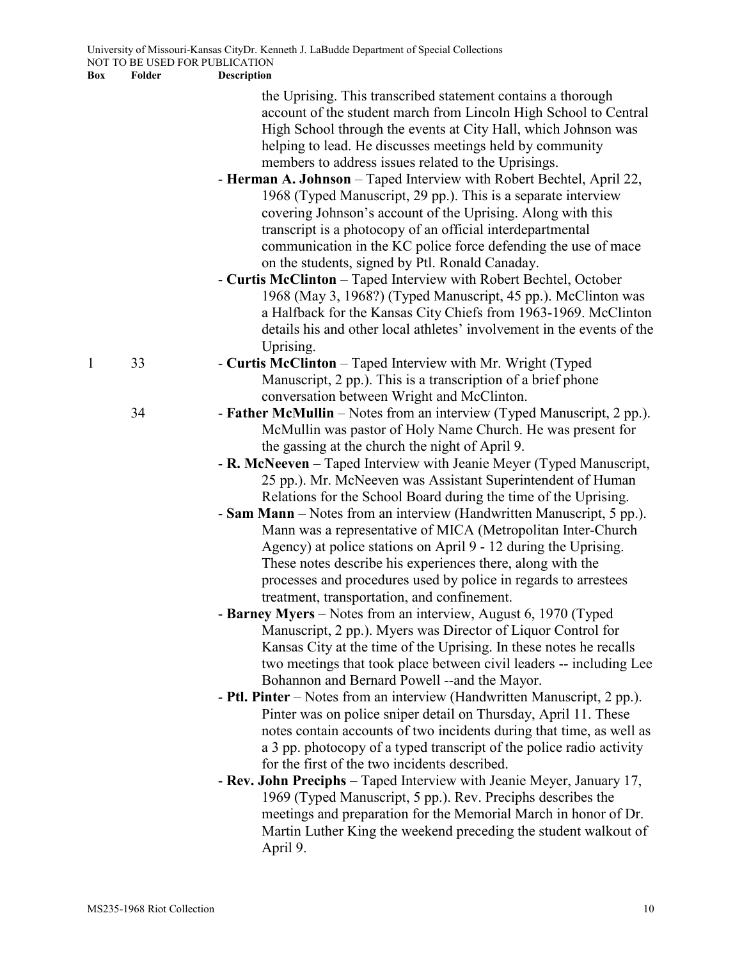| the Uprising. This transcribed statement contains a thorough     |  |  |
|------------------------------------------------------------------|--|--|
| account of the student march from Lincoln High School to Central |  |  |
| High School through the events at City Hall, which Johnson was   |  |  |
| helping to lead. He discusses meetings held by community         |  |  |
| members to address issues related to the Uprisings.              |  |  |

- **Herman A. Johnson** Taped Interview with Robert Bechtel, April 22, 1968 (Typed Manuscript, 29 pp.). This is a separate interview covering Johnson's account of the Uprising. Along with this transcript is a photocopy of an official interdepartmental communication in the KC police force defending the use of mace on the students, signed by Ptl. Ronald Canaday.
- **Curtis McClinton** Taped Interview with Robert Bechtel, October 1968 (May 3, 1968?) (Typed Manuscript, 45 pp.). McClinton was a Halfback for the Kansas City Chiefs from 1963-1969. McClinton details his and other local athletes' involvement in the events of the Uprising.
- 1 33 **Curtis McClinton** Taped Interview with Mr. Wright (Typed Manuscript, 2 pp.). This is a transcription of a brief phone conversation between Wright and McClinton.
	- 34  **Father McMullin** Notes from an interview (Typed Manuscript, 2 pp.). McMullin was pastor of Holy Name Church. He was present for the gassing at the church the night of April 9.
		- **R. McNeeven** Taped Interview with Jeanie Meyer (Typed Manuscript, 25 pp.). Mr. McNeeven was Assistant Superintendent of Human Relations for the School Board during the time of the Uprising.
		- **Sam Mann** Notes from an interview (Handwritten Manuscript, 5 pp.). Mann was a representative of MICA (Metropolitan Inter-Church Agency) at police stations on April 9 - 12 during the Uprising. These notes describe his experiences there, along with the processes and procedures used by police in regards to arrestees treatment, transportation, and confinement.
		- **Barney Myers** Notes from an interview, August 6, 1970 (Typed Manuscript, 2 pp.). Myers was Director of Liquor Control for Kansas City at the time of the Uprising. In these notes he recalls two meetings that took place between civil leaders -- including Lee Bohannon and Bernard Powell --and the Mayor.
		- **Ptl. Pinter** Notes from an interview (Handwritten Manuscript, 2 pp.). Pinter was on police sniper detail on Thursday, April 11. These notes contain accounts of two incidents during that time, as well as a 3 pp. photocopy of a typed transcript of the police radio activity for the first of the two incidents described.
		- **Rev. John Preciphs** Taped Interview with Jeanie Meyer, January 17, 1969 (Typed Manuscript, 5 pp.). Rev. Preciphs describes the meetings and preparation for the Memorial March in honor of Dr. Martin Luther King the weekend preceding the student walkout of April 9.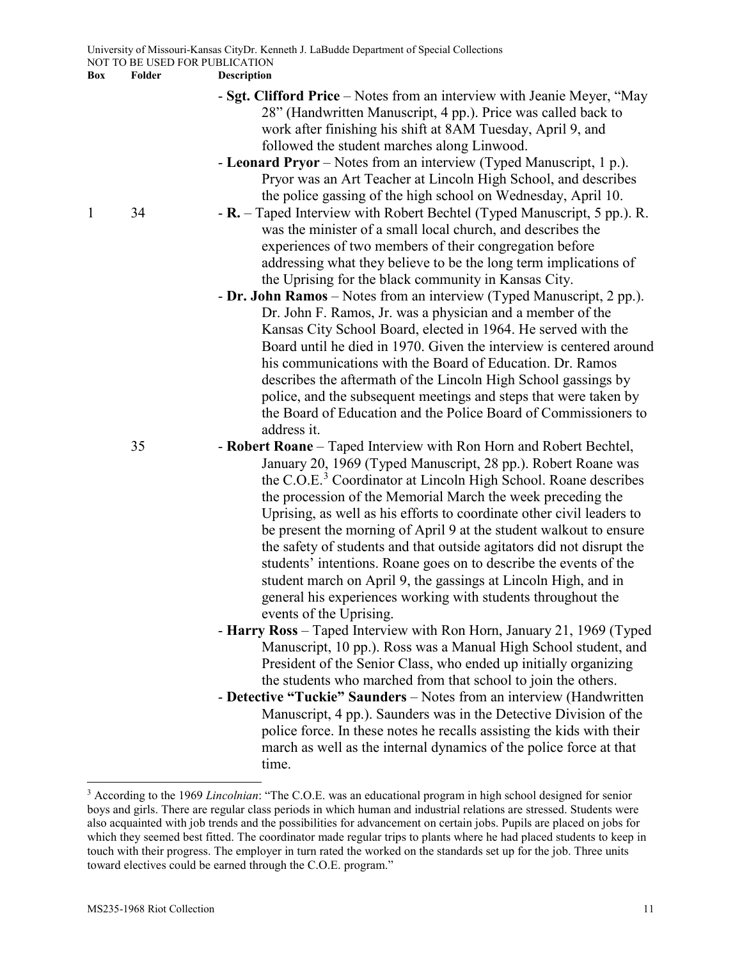- **Sgt. Clifford Price** Notes from an interview with Jeanie Meyer, "May 28" (Handwritten Manuscript, 4 pp.). Price was called back to work after finishing his shift at 8AM Tuesday, April 9, and followed the student marches along Linwood.
- **Leonard Pryor** Notes from an interview (Typed Manuscript, 1 p.). Pryor was an Art Teacher at Lincoln High School, and describes the police gassing of the high school on Wednesday, April 10.
- 1 34  **R.** Taped Interview with Robert Bechtel (Typed Manuscript, 5 pp.). R. was the minister of a small local church, and describes the experiences of two members of their congregation before addressing what they believe to be the long term implications of the Uprising for the black community in Kansas City.
	- **Dr. John Ramos** Notes from an interview (Typed Manuscript, 2 pp.). Dr. John F. Ramos, Jr. was a physician and a member of the Kansas City School Board, elected in 1964. He served with the Board until he died in 1970. Given the interview is centered around his communications with the Board of Education. Dr. Ramos describes the aftermath of the Lincoln High School gassings by police, and the subsequent meetings and steps that were taken by the Board of Education and the Police Board of Commissioners to address it.

35 - **Robert Roane** – Taped Interview with Ron Horn and Robert Bechtel, January 20, 1969 (Typed Manuscript, 28 pp.). Robert Roane was the C.O.E.<sup>[3](#page-10-0)</sup> Coordinator at Lincoln High School. Roane describes the procession of the Memorial March the week preceding the Uprising, as well as his efforts to coordinate other civil leaders to be present the morning of April 9 at the student walkout to ensure the safety of students and that outside agitators did not disrupt the students' intentions. Roane goes on to describe the events of the student march on April 9, the gassings at Lincoln High, and in general his experiences working with students throughout the events of the Uprising.

- **Harry Ross** Taped Interview with Ron Horn, January 21, 1969 (Typed Manuscript, 10 pp.). Ross was a Manual High School student, and President of the Senior Class, who ended up initially organizing the students who marched from that school to join the others.
- **Detective "Tuckie" Saunders** Notes from an interview (Handwritten Manuscript, 4 pp.). Saunders was in the Detective Division of the police force. In these notes he recalls assisting the kids with their march as well as the internal dynamics of the police force at that time.

<span id="page-10-0"></span> <sup>3</sup> According to the 1969 *Lincolnian*: "The C.O.E. was an educational program in high school designed for senior boys and girls. There are regular class periods in which human and industrial relations are stressed. Students were also acquainted with job trends and the possibilities for advancement on certain jobs. Pupils are placed on jobs for which they seemed best fitted. The coordinator made regular trips to plants where he had placed students to keep in touch with their progress. The employer in turn rated the worked on the standards set up for the job. Three units toward electives could be earned through the C.O.E. program."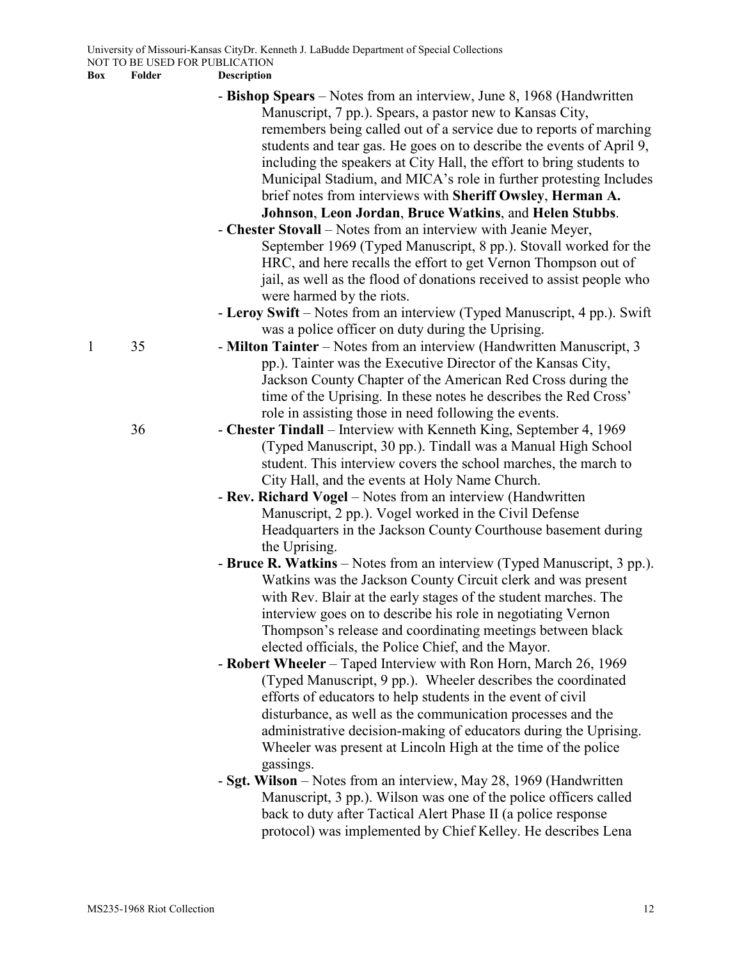University of Missouri-Kansas CityDr. Kenneth J. LaBudde Department of Special Collections NOT TO BE USED FOR PUBLICATION

**Box Folder Description**

|              |    | - Bishop Spears – Notes from an interview, June 8, 1968 (Handwritten                                  |
|--------------|----|-------------------------------------------------------------------------------------------------------|
|              |    | Manuscript, 7 pp.). Spears, a pastor new to Kansas City,                                              |
|              |    | remembers being called out of a service due to reports of marching                                    |
|              |    | students and tear gas. He goes on to describe the events of April 9,                                  |
|              |    | including the speakers at City Hall, the effort to bring students to                                  |
|              |    | Municipal Stadium, and MICA's role in further protesting Includes                                     |
|              |    | brief notes from interviews with Sheriff Owsley, Herman A.                                            |
|              |    | Johnson, Leon Jordan, Bruce Watkins, and Helen Stubbs.                                                |
|              |    | - Chester Stovall – Notes from an interview with Jeanie Meyer,                                        |
|              |    | September 1969 (Typed Manuscript, 8 pp.). Stovall worked for the                                      |
|              |    | HRC, and here recalls the effort to get Vernon Thompson out of                                        |
|              |    | jail, as well as the flood of donations received to assist people who                                 |
|              |    |                                                                                                       |
|              |    | were harmed by the riots.<br>- Leroy Swift - Notes from an interview (Typed Manuscript, 4 pp.). Swift |
|              |    | was a police officer on duty during the Uprising.                                                     |
| $\mathbf{1}$ | 35 | - Milton Tainter – Notes from an interview (Handwritten Manuscript, 3                                 |
|              |    | pp.). Tainter was the Executive Director of the Kansas City,                                          |
|              |    | Jackson County Chapter of the American Red Cross during the                                           |
|              |    | time of the Uprising. In these notes he describes the Red Cross'                                      |
|              |    | role in assisting those in need following the events.                                                 |
|              | 36 | - Chester Tindall – Interview with Kenneth King, September 4, 1969                                    |
|              |    | (Typed Manuscript, 30 pp.). Tindall was a Manual High School                                          |
|              |    | student. This interview covers the school marches, the march to                                       |
|              |    |                                                                                                       |
|              |    | City Hall, and the events at Holy Name Church.                                                        |
|              |    | - Rev. Richard Vogel – Notes from an interview (Handwritten                                           |
|              |    | Manuscript, 2 pp.). Vogel worked in the Civil Defense                                                 |
|              |    | Headquarters in the Jackson County Courthouse basement during                                         |
|              |    | the Uprising.                                                                                         |
|              |    | - Bruce R. Watkins – Notes from an interview (Typed Manuscript, 3 pp.).                               |
|              |    | Watkins was the Jackson County Circuit clerk and was present                                          |
|              |    | with Rev. Blair at the early stages of the student marches. The                                       |
|              |    | interview goes on to describe his role in negotiating Vernon                                          |
|              |    | Thompson's release and coordinating meetings between black                                            |
|              |    | elected officials, the Police Chief, and the Mayor.                                                   |
|              |    | - Robert Wheeler – Taped Interview with Ron Horn, March 26, 1969                                      |
|              |    | (Typed Manuscript, 9 pp.). Wheeler describes the coordinated                                          |
|              |    | efforts of educators to help students in the event of civil                                           |
|              |    | disturbance, as well as the communication processes and the                                           |
|              |    | administrative decision-making of educators during the Uprising.                                      |
|              |    | Wheeler was present at Lincoln High at the time of the police                                         |
|              |    | gassings.                                                                                             |
|              |    | - Sgt. Wilson – Notes from an interview, May 28, 1969 (Handwritten                                    |
|              |    | Manuscript, 3 pp.). Wilson was one of the police officers called                                      |
|              |    | back to duty after Tactical Alert Phase II (a police response                                         |

protocol) was implemented by Chief Kelley. He describes Lena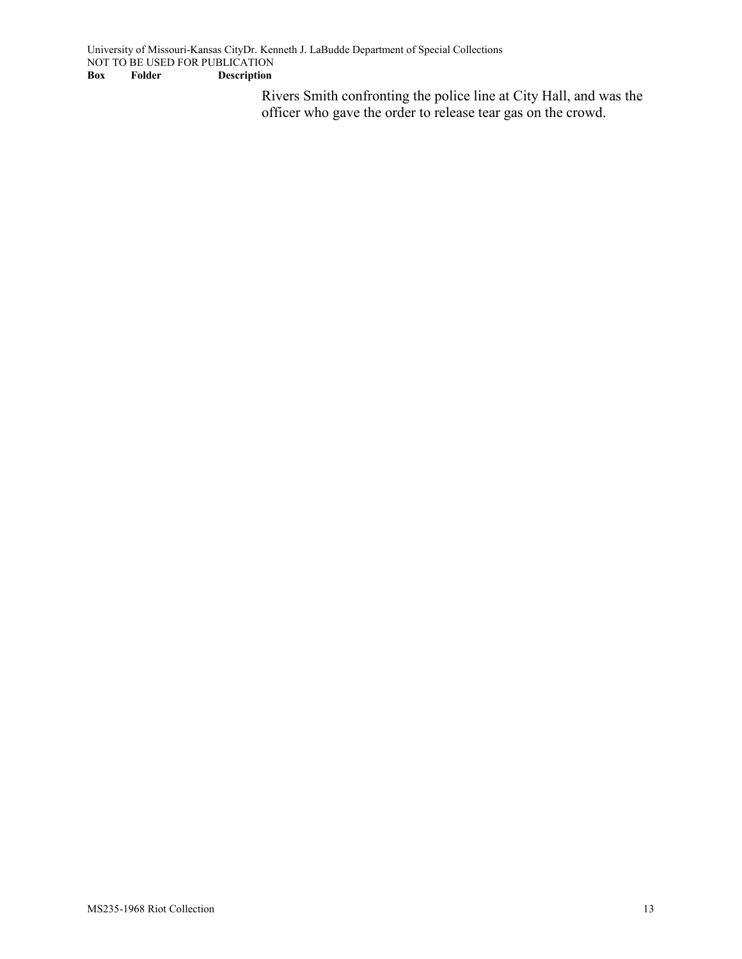Rivers Smith confronting the police line at City Hall, and was the officer who gave the order to release tear gas on the crowd.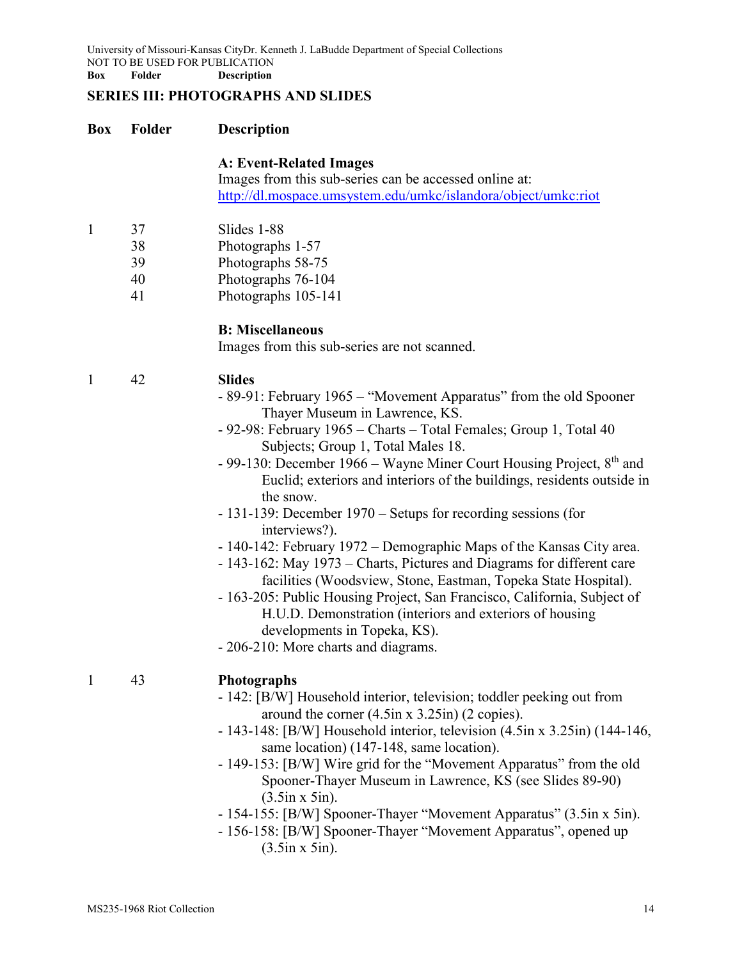University of Missouri-Kansas CityDr. Kenneth J. LaBudde Department of Special Collections NOT TO BE USED FOR PUBLICATION **Box Folder Description**

## **SERIES III: PHOTOGRAPHS AND SLIDES**

#### **Box Folder Description**

#### **A: Event-Related Images**

Images from this sub-series can be accessed online at: <http://dl.mospace.umsystem.edu/umkc/islandora/object/umkc:riot>

- 1 37 Slides 1-88
	- 38 Photographs 1-57
	- 39 Photographs 58-75
	- 40 Photographs 76-104
	- 41 Photographs 105-141

#### **B: Miscellaneous**

Images from this sub-series are not scanned.

- 1 42 **Slides**
	- 89-91: February 1965 "Movement Apparatus" from the old Spooner Thayer Museum in Lawrence, KS.
	- 92-98: February 1965 Charts Total Females; Group 1, Total 40 Subjects; Group 1, Total Males 18.
	- 99-130: December 1966 Wayne Miner Court Housing Project,  $8<sup>th</sup>$  and Euclid; exteriors and interiors of the buildings, residents outside in the snow.
	- 131-139: December 1970 Setups for recording sessions (for interviews?).
	- 140-142: February 1972 Demographic Maps of the Kansas City area.
	- 143-162: May 1973 Charts, Pictures and Diagrams for different care facilities (Woodsview, Stone, Eastman, Topeka State Hospital).
	- 163-205: Public Housing Project, San Francisco, California, Subject of H.U.D. Demonstration (interiors and exteriors of housing developments in Topeka, KS).

- 206-210: More charts and diagrams.

#### 1 43 **Photographs**

- 142: [B/W] Household interior, television; toddler peeking out from around the corner (4.5in x 3.25in) (2 copies).
- 143-148: [B/W] Household interior, television (4.5in x 3.25in) (144-146, same location) (147-148, same location).
- 149-153: [B/W] Wire grid for the "Movement Apparatus" from the old Spooner-Thayer Museum in Lawrence, KS (see Slides 89-90) (3.5in x 5in).
- 154-155: [B/W] Spooner-Thayer "Movement Apparatus" (3.5in x 5in).
- 156-158: [B/W] Spooner-Thayer "Movement Apparatus", opened up (3.5in x 5in).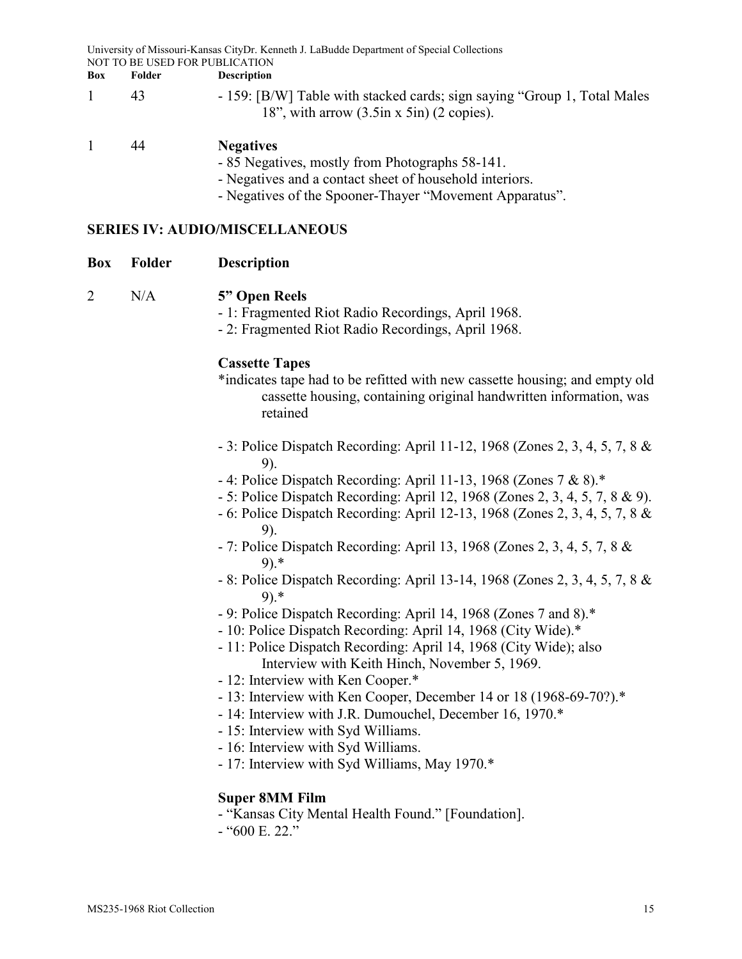University of Missouri-Kansas CityDr. Kenneth J. LaBudde Department of Special Collections NOT TO BE USED FOR PUBLICATION

- **Box Folder Description**
- 1 43 159: [B/W] Table with stacked cards; sign saying "Group 1, Total Males" 18", with arrow (3.5in x 5in) (2 copies).

#### 1 44 **Negatives**

- 85 Negatives, mostly from Photographs 58-141.

- Negatives and a contact sheet of household interiors.

- Negatives of the Spooner-Thayer "Movement Apparatus".

### **SERIES IV: AUDIO/MISCELLANEOUS**

| Box | Folder | <b>Description</b> |
|-----|--------|--------------------|
|-----|--------|--------------------|

## 2 N/A **5" Open Reels**

- 1: Fragmented Riot Radio Recordings, April 1968.

- 2: Fragmented Riot Radio Recordings, April 1968.

#### **Cassette Tapes**

- \*indicates tape had to be refitted with new cassette housing; and empty old cassette housing, containing original handwritten information, was retained
- 3: Police Dispatch Recording: April 11-12, 1968 (Zones 2, 3, 4, 5, 7, 8 & 9).
- 4: Police Dispatch Recording: April 11-13, 1968 (Zones 7 & 8).\*
- 5: Police Dispatch Recording: April 12, 1968 (Zones 2, 3, 4, 5, 7, 8 & 9).
- 6: Police Dispatch Recording: April 12-13, 1968 (Zones 2, 3, 4, 5, 7, 8 & 9).
- 7: Police Dispatch Recording: April 13, 1968 (Zones 2, 3, 4, 5, 7, 8 & 9).\*
- 8: Police Dispatch Recording: April 13-14, 1968 (Zones 2, 3, 4, 5, 7, 8 & 9).\*
- 9: Police Dispatch Recording: April 14, 1968 (Zones 7 and 8).\*
- 10: Police Dispatch Recording: April 14, 1968 (City Wide).\*
- 11: Police Dispatch Recording: April 14, 1968 (City Wide); also Interview with Keith Hinch, November 5, 1969.
- 12: Interview with Ken Cooper.\*
- 13: Interview with Ken Cooper, December 14 or 18 (1968-69-70?).\*
- 14: Interview with J.R. Dumouchel, December 16, 1970.\*
- 15: Interview with Syd Williams.
- 16: Interview with Syd Williams.
- 17: Interview with Syd Williams, May 1970.\*

## **Super 8MM Film**

- "Kansas City Mental Health Found." [Foundation].
- "600 E. 22."